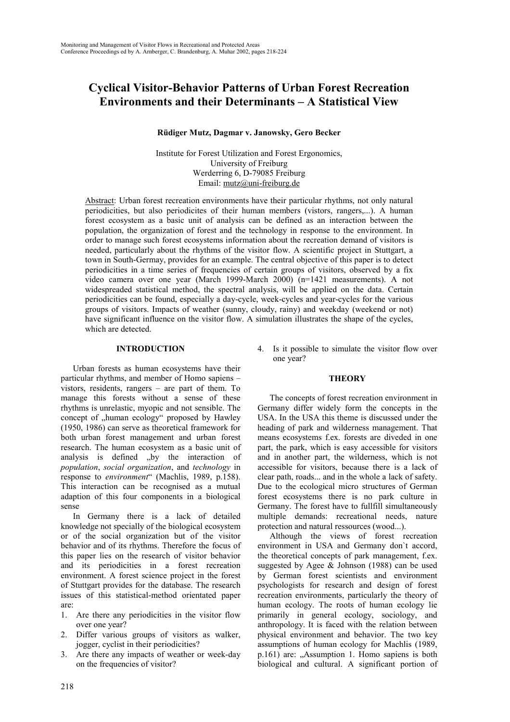# **Cyclical Visitor-Behavior Patterns of Urban Forest Recreation Environments and their Determinants – A Statistical View**

### **Rüdiger Mutz, Dagmar v. Janowsky, Gero Becker**

Institute for Forest Utilization and Forest Ergonomics, University of Freiburg Werderring 6, D-79085 Freiburg Email: mutz@uni-freiburg.de

Abstract: Urban forest recreation environments have their particular rhythms, not only natural periodicities, but also periodicites of their human members (vistors, rangers,...). A human forest ecosystem as a basic unit of analysis can be defined as an interaction between the population, the organization of forest and the technology in response to the environment. In order to manage such forest ecosystems information about the recreation demand of visitors is needed, particularly about the rhythms of the visitor flow. A scientific project in Stuttgart, a town in South-Germay, provides for an example. The central objective of this paper is to detect periodicities in a time series of frequencies of certain groups of visitors, observed by a fix video camera over one year (March 1999-March 2000) (n=1421 measurements). A not widespreaded statistical method, the spectral analysis, will be applied on the data. Certain periodicities can be found, especially a day-cycle, week-cycles and year-cycles for the various groups of visitors. Impacts of weather (sunny, cloudy, rainy) and weekday (weekend or not) have significant influence on the visitor flow. A simulation illustrates the shape of the cycles, which are detected.

#### **INTRODUCTION**

Urban forests as human ecosystems have their particular rhythms, and member of Homo sapiens – vistors, residents, rangers – are part of them. To manage this forests without a sense of these rhythms is unrelastic, myopic and not sensible. The concept of "human ecology" proposed by Hawley (1950, 1986) can serve as theoretical framework for both urban forest management and urban forest research. The human ecosystem as a basic unit of analysis is defined "by the interaction of *population*, *social organization*, and *technology* in response to *environment*" (Machlis, 1989, p.158). This interaction can be recognised as a mutual adaption of this four components in a biological sense

In Germany there is a lack of detailed knowledge not specially of the biological ecosystem or of the social organization but of the visitor behavior and of its rhythms. Therefore the focus of this paper lies on the research of visitor behavior and its periodicities in a forest recreation environment. A forest science project in the forest of Stuttgart provides for the database. The research issues of this statistical-method orientated paper are:

- 1. Are there any periodicities in the visitor flow over one year?
- 2. Differ various groups of visitors as walker, jogger, cyclist in their periodicities?
- 3. Are there any impacts of weather or week-day on the frequencies of visitor?

4. Is it possible to simulate the visitor flow over one year?

#### **THEORY**

The concepts of forest recreation environment in Germany differ widely form the concepts in the USA. In the USA this theme is discussed under the heading of park and wilderness management. That means ecosystems f.ex. forests are diveded in one part, the park, which is easy accessible for visitors and in another part, the wilderness, which is not accessible for visitors, because there is a lack of clear path, roads... and in the whole a lack of safety. Due to the ecological micro structures of German forest ecosystems there is no park culture in Germany. The forest have to fullfill simultaneously multiple demands: recreational needs, nature protection and natural ressources (wood...).

Although the views of forest recreation environment in USA and Germany don`t accord, the theoretical concepts of park management, f.ex. suggested by Agee & Johnson (1988) can be used by German forest scientists and environment psychologists for research and design of forest recreation environments, particularly the theory of human ecology. The roots of human ecology lie primarily in general ecology, sociology, and anthropology. It is faced with the relation between physical environment and behavior. The two key assumptions of human ecology for Machlis (1989,  $p.161$ ) are:  $\Delta$ Assumption 1. Homo sapiens is both biological and cultural. A significant portion of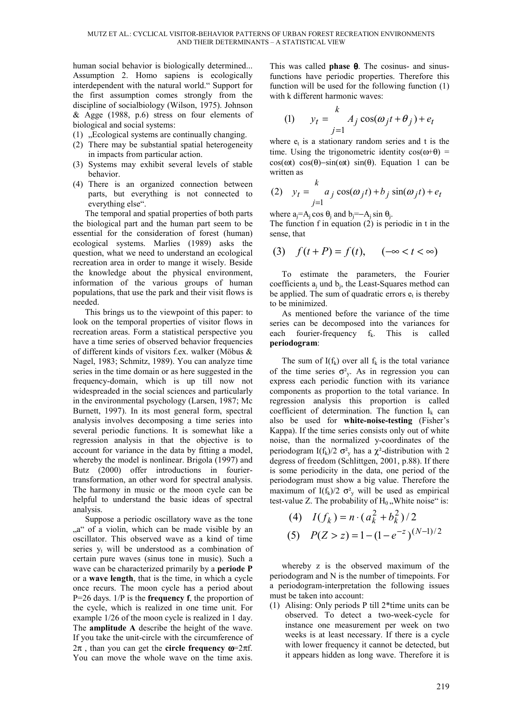human social behavior is biologically determined... Assumption 2. Homo sapiens is ecologically interdependent with the natural world." Support for the first assumption comes strongly from the discipline of socialbiology (Wilson, 1975). Johnson & Agge (1988, p.6) stress on four elements of biological and social systems:

- $(1)$ , Ecological systems are continually changing.
- (2) There may be substantial spatial heterogeneity in impacts from particular action.
- (3) Systems may exhibit several levels of stable behavior.
- (4) There is an organized connection between parts, but everything is not connected to everything else".

The temporal and spatial properties of both parts the biological part and the human part seem to be essential for the consideration of forest (human) ecological systems. Marlies (1989) asks the question, what we need to understand an ecological recreation area in order to mange it wisely. Beside the knowledge about the physical environment, information of the various groups of human populations, that use the park and their visit flows is needed.

This brings us to the viewpoint of this paper: to look on the temporal properties of visitor flows in recreation areas. Form a statistical perspective you have a time series of observed behavior frequencies of different kinds of visitors f.ex. walker (Möbus & Nagel, 1983; Schmitz, 1989). You can analyze time series in the time domain or as here suggested in the frequency-domain, which is up till now not widespreaded in the social sciences and particularly in the environmental psychology (Larsen, 1987; Mc Burnett, 1997). In its most general form, spectral analysis involves decomposing a time series into several periodic functions. It is somewhat like a regression analysis in that the objective is to account for variance in the data by fitting a model, whereby the model is nonlinear. Brigola (1997) and Butz (2000) offer introductions in fouriertransformation, an other word for spectral analysis. The harmony in music or the moon cycle can be helpful to understand the basic ideas of spectral analysis.

Suppose a periodic oscillatory wave as the tone "a" of a violin, which can be made visible by an oscillator. This observed wave as a kind of time series  $y_t$  will be understood as a combination of certain pure waves (sinus tone in music). Such a wave can be characterized primarily by a **periode P** or a **wave length**, that is the time, in which a cycle once recurs. The moon cycle has a period about P=26 days. 1/P is the **frequency f**, the proportion of the cycle, which is realized in one time unit. For example 1/26 of the moon cycle is realized in 1 day. The **amplitude A** describe the height of the wave. If you take the unit-circle with the circumference of 2π , than you can get the **circle frequency** ω=2πf. You can move the whole wave on the time axis.

This was called **phase** θ. The cosinus- and sinusfunctions have periodic properties. Therefore this function will be used for the following function (1) with k different harmonic waves:

(1) 
$$
y_t = \sum_{j=1}^k A_j \cos(\omega_j t + \theta_j) + e_t
$$

where  $e_t$  is a stationary random series and t is the time. Using the trigonometric identity  $cos(\omega+\theta)$  = cos( $\omega t$ ) cos( $\theta$ )−sin( $\omega t$ ) sin( $\theta$ ). Equation 1 can be written as

(2) 
$$
y_t = \sum_{j=1}^k a_j \cos(\omega_j t) + b_j \sin(\omega_j t) + e_t
$$

where  $a_i = A_i \cos \theta_i$  and  $b_i = -A_i \sin \theta_i$ .

The function f in equation  $(2)$  is periodic in t in the sense, that

$$
(3) \quad f(t+P) = f(t), \quad (-\infty < t < \infty)
$$

To estimate the parameters, the Fourier coefficients  $a_i$  und  $b_i$ , the Least-Squares method can be applied. The sum of quadratic errors  $e_t$  is thereby to be minimized.

As mentioned before the variance of the time series can be decomposed into the variances for each fourier-frequency  $f_k$ . This is called **periodogram**:

The sum of  $I(f_k)$  over all  $f_k$  is the total variance of the time series  $\sigma_{y}^{2}$ . As in regression you can express each periodic function with its variance components as proportion to the total variance. In regression analysis this proportion is called coefficient of determination. The function  $I_k$  can also be used for **white-noise-testing** (Fisher's Kappa). If the time series consists only out of white noise, than the normalized y-coordinates of the periodogram I(f<sub>k</sub>)/2  $\sigma_v^2$  has a  $\chi^2$ -distribution with 2 degress of freedom (Schlittgen, 2001, p.88). If there is some periodicity in the data, one period of the periodogram must show a big value. Therefore the maximum of I( $f_k$ )/2  $\sigma_{y_k}^2$  will be used as empirical test-value Z. The probability of  $H_0$ . White noise" is:

(4) 
$$
I(f_k) = n \cdot (a_k^2 + b_k^2)/2
$$
  
(5)  $P(Z > z) = 1 - (1 - e^{-z})^{(N-1)/2}$ 

whereby z is the observed maximum of the periodogram and N is the number of timepoints. For a periodogram-interpretation the following issues must be taken into account:

(1) Alising: Only periods P till 2\*time units can be observed. To detect a two-week-cycle for instance one measurement per week on two weeks is at least necessary. If there is a cycle with lower frequency it cannot be detected, but it appears hidden as long wave. Therefore it is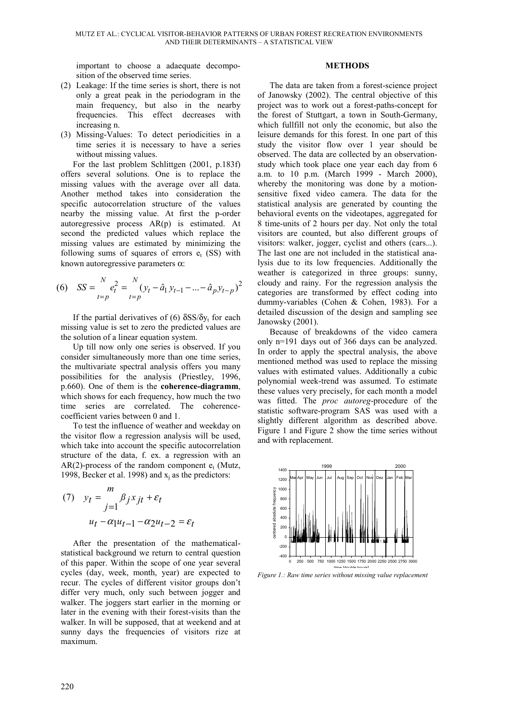important to choose a adaequate decomposition of the observed time series.

- (2) Leakage: If the time series is short, there is not only a great peak in the periodogram in the main frequency, but also in the nearby frequencies. This effect decreases with increasing n.
- (3) Missing-Values: To detect periodicities in a time series it is necessary to have a series without missing values.

For the last problem Schlittgen (2001, p.183f) offers several solutions. One is to replace the missing values with the average over all data. Another method takes into consideration the specific autocorrelation structure of the values nearby the missing value. At first the p-order autoregressive process AR(p) is estimated. At second the predicted values which replace the missing values are estimated by minimizing the following sums of squares of errors  $e_t$  (SS) with known autoregressive parameters  $\alpha$ :

(6) 
$$
SS = \sum_{t=p}^{N} e_t^2 = \sum_{t=p}^{N} (y_t - \hat{a}_1 y_{t-1} - \dots - \hat{a}_p y_{t-p})^2
$$

If the partial derivatives of (6)  $\delta$ SS/ $\delta$ <sub>y</sub>, for each missing value is set to zero the predicted values are the solution of a linear equation system.

Up till now only one series is observed. If you consider simultaneously more than one time series, the multivariate spectral analysis offers you many possibilities for the analysis (Priestley, 1996, p.660). One of them is the **coherence-diagramm**, which shows for each frequency, how much the two time series are correlated. The coherencecoefficient varies between 0 and 1.

To test the influence of weather and weekday on the visitor flow a regression analysis will be used, which take into account the specific autocorrelation structure of the data, f. ex. a regression with an  $AR(2)$ -process of the random component  $e_t$  (Mutz, 1998, Becker et al. 1998) and  $x_i$  as the predictors:

(7) 
$$
y_t = \frac{m}{j=1} \beta_j x_{jt} + \varepsilon_t
$$

$$
u_t - \alpha_1 u_{t-1} - \alpha_2 u_{t-2} = \varepsilon_t
$$

After the presentation of the mathematicalstatistical background we return to central question of this paper. Within the scope of one year several cycles (day, week, month, year) are expected to recur. The cycles of different visitor groups don't differ very much, only such between jogger and walker. The joggers start earlier in the morning or later in the evening with their forest-visits than the walker. In will be supposed, that at weekend and at sunny days the frequencies of visitors rize at maximum.

#### **METHODS**

The data are taken from a forest-science project of Janowsky (2002). The central objective of this project was to work out a forest-paths-concept for the forest of Stuttgart, a town in South-Germany, which fullfill not only the economic, but also the leisure demands for this forest. In one part of this study the visitor flow over 1 year should be observed. The data are collected by an observationstudy which took place one year each day from 6 a.m. to 10 p.m. (March 1999 - March 2000), whereby the monitoring was done by a motionsensitive fixed video camera. The data for the statistical analysis are generated by counting the behavioral events on the videotapes, aggregated for 8 time-units of 2 hours per day. Not only the total visitors are counted, but also different groups of visitors: walker, jogger, cyclist and others (cars...). The last one are not included in the statistical analysis due to its low frequencies. Additionally the weather is categorized in three groups: sunny, cloudy and rainy. For the regression analysis the categories are transformed by effect coding into dummy-variables (Cohen & Cohen, 1983). For a detailed discussion of the design and sampling see Janowsky (2001).

Because of breakdowns of the video camera only n=191 days out of 366 days can be analyzed. In order to apply the spectral analysis, the above mentioned method was used to replace the missing values with estimated values. Additionally a cubic polynomial week-trend was assumed. To estimate these values very precisely, for each month a model was fitted. The *proc autoreg*-procedure of the statistic software-program SAS was used with a slightly different algorithm as described above. Figure 1 and Figure 2 show the time series without and with replacement.



*Figure 1.: Raw time series without missing value replacement*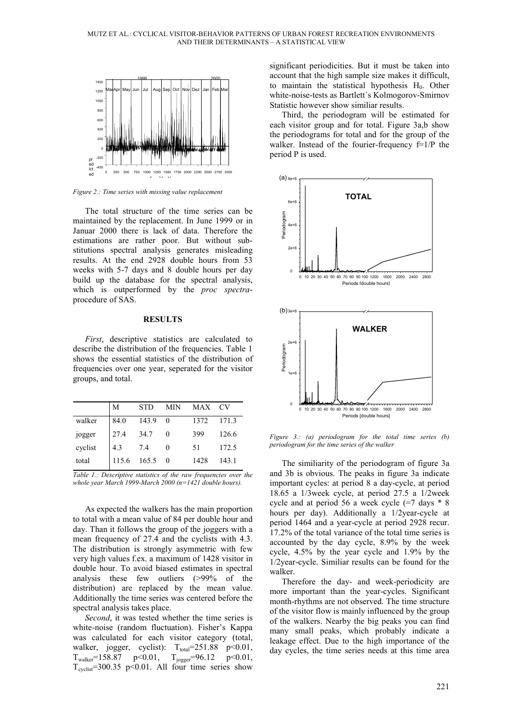

*Figure 2.: Time series with missing value replacement*

The total structure of the time series can be maintained by the replacement. In June 1999 or in Januar 2000 there is lack of data. Therefore the estimations are rather poor. But without substitutions spectral analysis generates misleading results. At the end 2928 double hours from 53 weeks with 5-7 days and 8 double hours per day build up the database for the spectral analysis, which is outperformed by the *proc spectra*procedure of SAS.

#### **RESULTS**

*First*, descriptive statistics are calculated to describe the distribution of the frequencies. Table 1 shows the essential statistics of the distribution of frequencies over one year, seperated for the visitor groups, and total.

|                   | M     | <b>STD</b> | MIN      | MAX CV |       |
|-------------------|-------|------------|----------|--------|-------|
| walker            | 84.0  | 143.9      | $\sim 0$ | 1372   | 171.3 |
|                   | 27.4  | 34.7       |          | 399    | 126.6 |
| jogger<br>cyclist | 4.3   | 7.4        |          | 51     | 172.5 |
| total             | 115.6 | $165.5\ 0$ |          | 1428   | 143.1 |

*Table 1.: Descriptive statistics of the raw frequencies over the whole year March 1999-March 2000 (n=1421 double hours).*

As expected the walkers has the main proportion to total with a mean value of 84 per double hour and day. Than it follows the group of the joggers with a mean frequency of 27.4 and the cyclists with 4.3. The distribution is strongly asymmetric with few very high values f.ex. a maximum of 1428 visitor in double hour. To avoid biased estimates in spectral analysis these few outliers (>99% of the distribution) are replaced by the mean value. Additionally the time series was centered before the spectral analysis takes place.

*Second*, it was tested whether the time series is white-noise (random fluctuation). Fisher's Kappa was calculated for each visitor category (total, walker, jogger, cyclist):  $T_{total} = 251.88$  p<0.01,  $T_{\text{walker}}$ =158.87 p<0.01,  $T_{\text{jogger}}$ =96.12 p<0.01,  $T_{\text{cvelist}}$ =300.35 p<0.01. All four time series show significant periodicities. But it must be taken into account that the high sample size makes it difficult, to maintain the statistical hypothesis  $H_0$ . Other white-noise-tests as Bartlett`s Kolmogorov-Smirnov Statistic however show similiar results.

Third, the periodogram will be estimated for each visitor group and for total. Figure 3a,b show the periodograms for total and for the group of the walker. Instead of the fourier-frequency  $f=1/P$  the period P is used.



*Figure 3.: (a) periodogram for the total time series (b) periodogram for the time series of the walker*

The similiarity of the periodogram of figure 3a and 3b is obvious. The peaks in figure 3a indicate important cycles: at period 8 a day-cycle, at period 18.65 a 1/3week cycle, at period 27.5 a 1/2week cycle and at period 56 a week cycle  $(=7 \text{ days} * 8)$ hours per day). Additionally a 1/2year-cycle at period 1464 and a year-cycle at period 2928 recur. 17.2% of the total variance of the total time series is accounted by the day cycle, 8.9% by the week cycle, 4.5% by the year cycle and 1.9% by the 1/2year-cycle. Similiar results can be found for the walker.

Therefore the day- and week-periodicity are more important than the year-cycles. Significant month-rhythms are not observed. The time structure of the visitor flow is mainly influenced by the group of the walkers. Nearby the big peaks you can find many small peaks, which probably indicate a leakage effect. Due to the high importance of the day cycles, the time series needs at this time area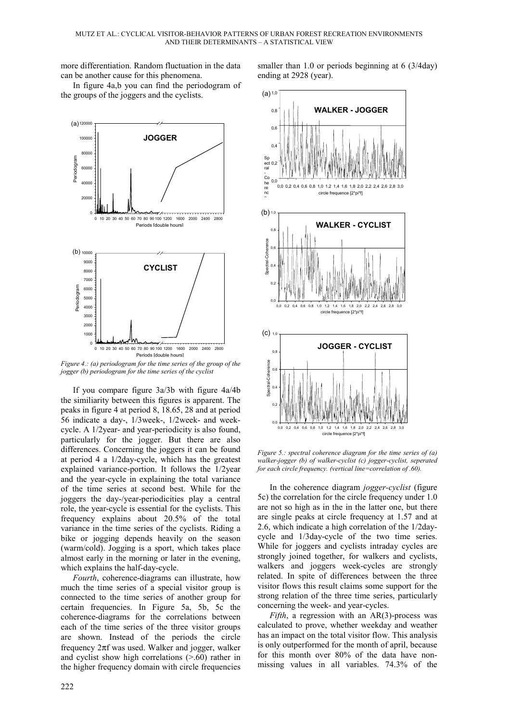more differentiation. Random fluctuation in the data can be another cause for this phenomena.

In figure 4a,b you can find the periodogram of the groups of the joggers and the cyclists.



*Figure 4.: (a) periodogram for the time series of the group of the jogger (b) periodogram for the time series of the cyclist*

If you compare figure 3a/3b with figure 4a/4b the similiarity between this figures is apparent. The peaks in figure 4 at period 8, 18.65, 28 and at period 56 indicate a day-, 1/3week-, 1/2week- and weekcycle. A 1/2year- and year-periodicity is also found, particularly for the jogger. But there are also differences. Concerning the joggers it can be found at period 4 a 1/2day-cycle, which has the greatest explained variance-portion. It follows the 1/2year and the year-cycle in explaining the total variance of the time series at second best. While for the joggers the day-/year-periodicities play a central role, the year-cycle is essential for the cyclists. This frequency explains about 20.5% of the total variance in the time series of the cyclists. Riding a bike or jogging depends heavily on the season (warm/cold). Jogging is a sport, which takes place almost early in the morning or later in the evening, which explains the half-day-cycle.

*Fourth*, coherence-diagrams can illustrate, how much the time series of a special visitor group is connected to the time series of another group for certain frequencies. In Figure 5a, 5b, 5c the coherence-diagrams for the correlations between each of the time series of the three visitor groups are shown. Instead of the periods the circle frequency 2πf was used. Walker and jogger, walker and cyclist show high correlations  $(> 0.60)$  rather in the higher frequency domain with circle frequencies smaller than 1.0 or periods beginning at 6 (3/4day) ending at 2928 (year).



*Figure 5.: spectral coherence diagram for the time series of (a) walker-jogger (b) of walker-cyclist (c) jogger-cyclist, seperated for each circle frequency. (vertical line=correlation of .60).*

In the coherence diagram *jogger-cyclist* (figure 5c) the correlation for the circle frequency under 1.0 are not so high as in the in the latter one, but there are single peaks at circle frequency at 1.57 and at 2.6, which indicate a high correlation of the 1/2daycycle and 1/3day-cycle of the two time series. While for joggers and cyclists intraday cycles are strongly joined together, for walkers and cyclists, walkers and joggers week-cycles are strongly related. In spite of differences between the three visitor flows this result claims some support for the strong relation of the three time series, particularly concerning the week- and year-cycles.

*Fifth*, a regression with an AR(3)-process was calculated to prove, whether weekday and weather has an impact on the total visitor flow. This analysis is only outperformed for the month of april, because for this month over 80% of the data have nonmissing values in all variables. 74.3% of the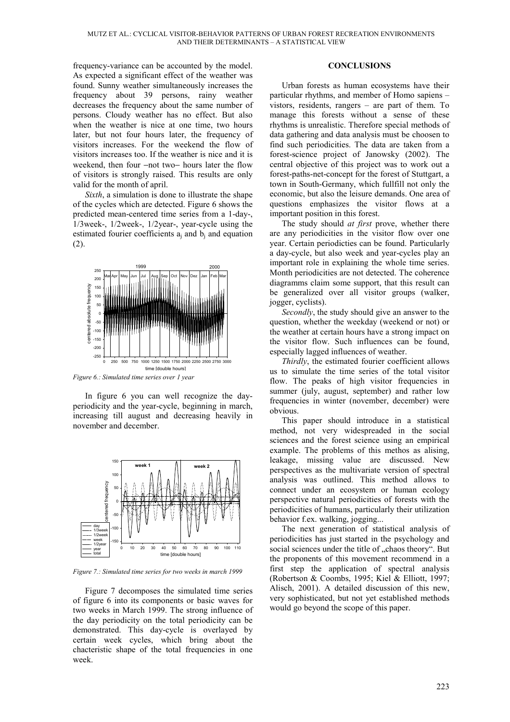frequency-variance can be accounted by the model. As expected a significant effect of the weather was found. Sunny weather simultaneously increases the frequency about 39 persons, rainy weather decreases the frequency about the same number of persons. Cloudy weather has no effect. But also when the weather is nice at one time, two hours later, but not four hours later, the frequency of visitors increases. For the weekend the flow of visitors increases too. If the weather is nice and it is weekend, then four −not two− hours later the flow of visitors is strongly raised. This results are only valid for the month of april.

*Sixth*, a simulation is done to illustrate the shape of the cycles which are detected. Figure 6 shows the predicted mean-centered time series from a 1-day-, 1/3week-, 1/2week-, 1/2year-, year-cycle using the estimated fourier coefficients  $a_i$  and  $b_i$  and equation (2).



*Figure 6.: Simulated time series over 1 year*

In figure 6 you can well recognize the dayperiodicity and the year-cycle, beginning in march, increasing till august and decreasing heavily in november and december.



*Figure 7.: Simulated time series for two weeks in march 1999*

Figure 7 decomposes the simulated time series of figure 6 into its components or basic waves for two weeks in March 1999. The strong influence of the day periodicity on the total periodicity can be demonstrated. This day-cycle is overlayed by certain week cycles, which bring about the chacteristic shape of the total frequencies in one week.

## **CONCLUSIONS**

Urban forests as human ecosystems have their particular rhythms, and member of Homo sapiens – vistors, residents, rangers – are part of them. To manage this forests without a sense of these rhythms is unrealistic. Therefore special methods of data gathering and data analysis must be choosen to find such periodicities. The data are taken from a forest-science project of Janowsky (2002). The central objective of this project was to work out a forest-paths-net-concept for the forest of Stuttgart, a town in South-Germany, which fullfill not only the economic, but also the leisure demands. One area of questions emphasizes the visitor flows at a important position in this forest.

The study should *at first* prove, whether there are any periodicities in the visitor flow over one year. Certain periodicties can be found. Particularly a day-cycle, but also week and year-cycles play an important role in explaining the whole time series. Month periodicities are not detected. The coherence diagramms claim some support, that this result can be generalized over all visitor groups (walker, jogger, cyclists).

*Secondly*, the study should give an answer to the question, whether the weekday (weekend or not) or the weather at certain hours have a strong impact on the visitor flow. Such influences can be found, especially lagged influences of weather.

*Thirdly*, the estimated fourier coefficient allows us to simulate the time series of the total visitor flow. The peaks of high visitor frequencies in summer (july, august, september) and rather low frequencies in winter (november, december) were obvious.

This paper should introduce in a statistical method, not very widespreaded in the social sciences and the forest science using an empirical example. The problems of this methos as alising, leakage, missing value are discussed. New perspectives as the multivariate version of spectral analysis was outlined. This method allows to connect under an ecosystem or human ecology perspective natural periodicities of forests with the periodicities of humans, particularly their utilization behavior f.ex. walking, jogging...

The next generation of statistical analysis of periodicities has just started in the psychology and social sciences under the title of "chaos theory". But the proponents of this movement recommend in a first step the application of spectral analysis (Robertson & Coombs, 1995; Kiel & Elliott, 1997; Alisch, 2001). A detailed discussion of this new, very sophisticated, but not yet established methods would go beyond the scope of this paper.